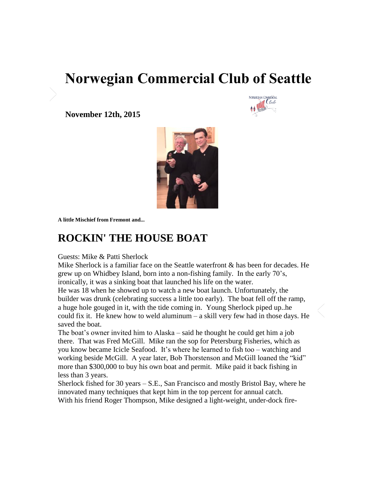# **Norwegian Commercial Club of Seattle**

**November 12th, 2015** 





**A little Mischief from Fremont and...**

## **ROCKIN' THE HOUSE BOAT**

Guests: Mike & Patti Sherlock

Mike Sherlock is a familiar face on the Seattle waterfront & has been for decades. He grew up on Whidbey Island, born into a non-fishing family. In the early 70's, ironically, it was a sinking boat that launched his life on the water.

He was 18 when he showed up to watch a new boat launch. Unfortunately, the builder was drunk (celebrating success a little too early). The boat fell off the ramp, a huge hole gouged in it, with the tide coming in. Young Sherlock piped up..he could fix it. He knew how to weld aluminum – a skill very few had in those days. He saved the boat.

The boat's owner invited him to Alaska – said he thought he could get him a job there. That was Fred McGill. Mike ran the sop for Petersburg Fisheries, which as you know became Icicle Seafood. It's where he learned to fish too – watching and working beside McGill. A year later, Bob Thorstenson and McGill loaned the "kid" more than \$300,000 to buy his own boat and permit. Mike paid it back fishing in less than 3 years.

Sherlock fished for 30 years – S.E., San Francisco and mostly Bristol Bay, where he innovated many techniques that kept him in the top percent for annual catch. With his friend Roger Thompson, Mike designed a light-weight, under-dock fire